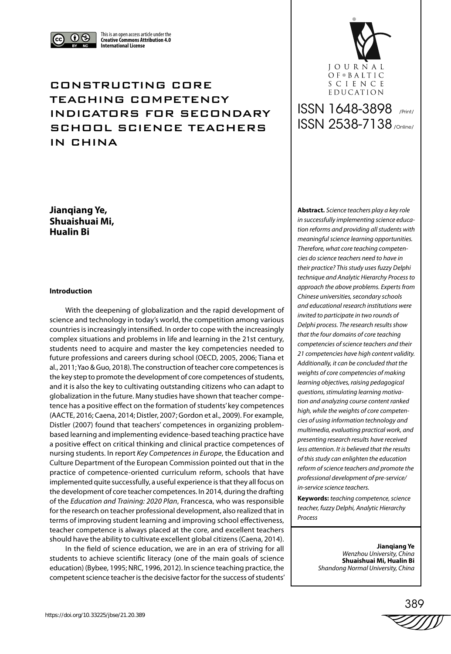

This is an open access article under the **Creative Commons Attribution 4.0 International License**

# CONSTRUCTING CORE TEACHING COMPETENCY INDICATORS FOR SECONDARY SCHOOL SCIENCE TEACHERS IN CHINA

**Jianqiang Ye, Shuaishuai Mi, Hualin Bi**

# **Introduction**

With the deepening of globalization and the rapid development of science and technology in today's world, the competition among various countries is increasingly intensified. In order to cope with the increasingly complex situations and problems in life and learning in the 21st century, students need to acquire and master the key competencies needed to future professions and careers during school (OECD, 2005, 2006; Tiana et al., 2011; Yao & Guo, 2018). The construction of teacher core competences is the key step to promote the development of core competences of students, and it is also the key to cultivating outstanding citizens who can adapt to globalization in the future. Many studies have shown that teacher competence has a positive effect on the formation of students' key competences (AACTE, 2016; Caena, 2014; Distler, 2007; Gordon et al., 2009). For example, Distler (2007) found that teachers' competences in organizing problembased learning and implementing evidence-based teaching practice have a positive effect on critical thinking and clinical practice competences of nursing students. In report *Key Competences in Europe*, the Education and Culture Department of the European Commission pointed out that in the practice of competence-oriented curriculum reform, schools that have implemented quite successfully, a useful experience is that they all focus on the development of core teacher competences. In 2014, during the drafting of the *Education and Training: 2020 Plan*, Francesca, who was responsible for the research on teacher professional development, also realized that in terms of improving student learning and improving school effectiveness, teacher competence is always placed at the core, and excellent teachers should have the ability to cultivate excellent global citizens (Caena, 2014).

In the field of science education, we are in an era of striving for all students to achieve scientific literacy (one of the main goals of science education) (Bybee, 1995; NRC, 1996, 2012). In science teaching practice, the competent science teacher is the decisive factor for the success of students'



# ISSN 1648-3898 /Print/ ISSN 2538-7138 /Online/

**Abstract.** *Science teachers play a key role in successfully implementing science education reforms and providing all students with meaningful science learning opportunities. Therefore, what core teaching competencies do science teachers need to have in their practice? This study uses fuzzy Delphi technique and Analytic Hierarchy Process to approach the above problems. Experts from Chinese universities, secondary schools and educational research institutions were invited to participate in two rounds of Delphi process. The research results show that the four domains of core teaching competencies of science teachers and their 21 competencies have high content validity. Additionally, it can be concluded that the weights of core competencies of making learning objectives, raising pedagogical questions, stimulating learning motivation and analyzing course content ranked high, while the weights of core competencies of using information technology and multimedia, evaluating practical work, and presenting research results have received less attention. It is believed that the results of this study can enlighten the education reform of science teachers and promote the professional development of pre-service/ in-service science teachers.*

**Keywords:** *teaching competence, science teacher, fuzzy Delphi, Analytic Hierarchy Process*

> **Jianqiang Ye** *Wenzhou University, China* **Shuaishuai Mi, Hualin Bi** *Shandong Normal University, China*

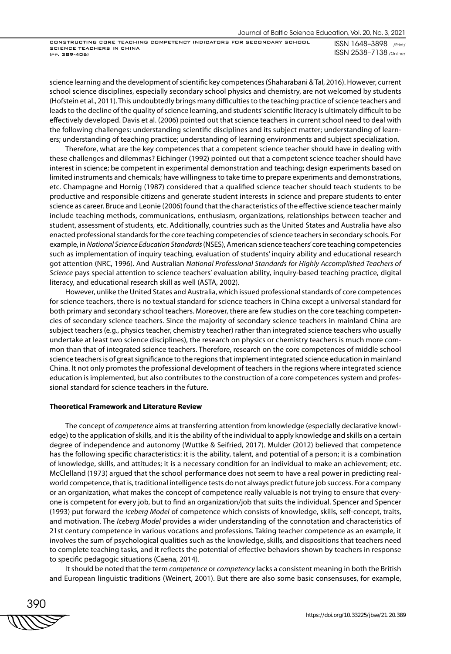ISSN 1648–3898 /Print/ ISSN 2538–7138 /Online/

science learning and the development of scientific key competences (Shaharabani & Tal, 2016). However, current school science disciplines, especially secondary school physics and chemistry, are not welcomed by students (Hofstein et al., 2011). This undoubtedly brings many difficulties to the teaching practice of science teachers and leads to the decline of the quality of science learning, and students' scientific literacy is ultimately difficult to be effectively developed. Davis et al. (2006) pointed out that science teachers in current school need to deal with the following challenges: understanding scientific disciplines and its subject matter; understanding of learners; understanding of teaching practice; understanding of learning environments and subject specialization.

Therefore, what are the key competences that a competent science teacher should have in dealing with these challenges and dilemmas? Eichinger (1992) pointed out that a competent science teacher should have interest in science; be competent in experimental demonstration and teaching; design experiments based on limited instruments and chemicals; have willingness to take time to prepare experiments and demonstrations, etc. Champagne and Hornig (1987) considered that a qualified science teacher should teach students to be productive and responsible citizens and generate student interests in science and prepare students to enter science as career. Bruce and Leonie (2006) found that the characteristics of the effective science teacher mainly include teaching methods, communications, enthusiasm, organizations, relationships between teacher and student, assessment of students, etc. Additionally, countries such as the United States and Australia have also enacted professional standards for the core teaching competencies of science teachers in secondary schools. For example, in *National Science Education Standards* (NSES), American science teachers' core teaching competencies such as implementation of inquiry teaching, evaluation of students' inquiry ability and educational research got attention (NRC, 1996). And Australian *National Professional Standards for Highly Accomplished Teachers of Science* pays special attention to science teachers' evaluation ability, inquiry-based teaching practice, digital literacy, and educational research skill as well (ASTA, 2002).

However, unlike the United States and Australia, which issued professional standards of core competences for science teachers, there is no textual standard for science teachers in China except a universal standard for both primary and secondary school teachers. Moreover, there are few studies on the core teaching competencies of secondary science teachers. Since the majority of secondary science teachers in mainland China are subject teachers (e.g., physics teacher, chemistry teacher) rather than integrated science teachers who usually undertake at least two science disciplines), the research on physics or chemistry teachers is much more common than that of integrated science teachers. Therefore, research on the core competences of middle school science teachers is of great significance to the regions that implement integrated science education in mainland China. It not only promotes the professional development of teachers in the regions where integrated science education is implemented, but also contributes to the construction of a core competences system and professional standard for science teachers in the future.

#### **Theoretical Framework and Literature Review**

The concept of *competence* aims at transferring attention from knowledge (especially declarative knowledge) to the application of skills, and it is the ability of the individual to apply knowledge and skills on a certain degree of independence and autonomy (Wuttke & Seifried, 2017). Mulder (2012) believed that competence has the following specific characteristics: it is the ability, talent, and potential of a person; it is a combination of knowledge, skills, and attitudes; it is a necessary condition for an individual to make an achievement; etc. McClelland (1973) argued that the school performance does not seem to have a real power in predicting realworld competence, that is, traditional intelligence tests do not always predict future job success. For a company or an organization, what makes the concept of competence really valuable is not trying to ensure that everyone is competent for every job, but to find an organization/job that suits the individual. Spencer and Spencer (1993) put forward the *Iceberg Model* of competence which consists of knowledge, skills, self-concept, traits, and motivation. The *Iceberg Model* provides a wider understanding of the connotation and characteristics of 21st century competence in various vocations and professions. Taking teacher competence as an example, it involves the sum of psychological qualities such as the knowledge, skills, and dispositions that teachers need to complete teaching tasks, and it reflects the potential of effective behaviors shown by teachers in response to specific pedagogic situations (Caena, 2014).

It should be noted that the term *competence* or *competency* lacks a consistent meaning in both the British and European linguistic traditions (Weinert, 2001). But there are also some basic consensuses, for example,

390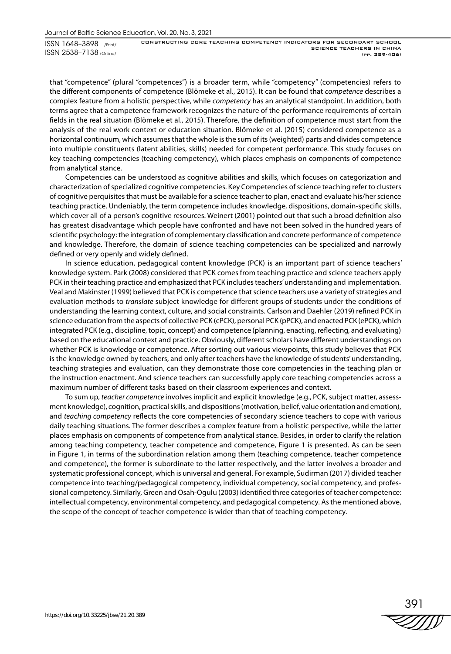that "competence" (plural "competences") is a broader term, while "competency" (competencies) refers to the different components of competence (Blömeke et al., 2015). It can be found that *competence* describes a complex feature from a holistic perspective, while *competency* has an analytical standpoint. In addition, both terms agree that a competence framework recognizes the nature of the performance requirements of certain fields in the real situation (Blömeke et al., 2015). Therefore, the definition of competence must start from the analysis of the real work context or education situation. Blömeke et al. (2015) considered competence as a horizontal continuum, which assumes that the whole is the sum of its (weighted) parts and divides competence into multiple constituents (latent abilities, skills) needed for competent performance. This study focuses on key teaching competencies (teaching competency), which places emphasis on components of competence from analytical stance.

Competencies can be understood as cognitive abilities and skills, which focuses on categorization and characterization of specialized cognitive competencies. Key Competencies of science teaching refer to clusters of cognitive perquisites that must be available for a science teacher to plan, enact and evaluate his/her science teaching practice. Undeniably, the term competence includes knowledge, dispositions, domain-specific skills, which cover all of a person's cognitive resources. Weinert (2001) pointed out that such a broad definition also has greatest disadvantage which people have confronted and have not been solved in the hundred years of scientific psychology: the integration of complementary classification and concrete performance of competence and knowledge. Therefore, the domain of science teaching competencies can be specialized and narrowly defined or very openly and widely defined.

In science education, pedagogical content knowledge (PCK) is an important part of science teachers' knowledge system. Park (2008) considered that PCK comes from teaching practice and science teachers apply PCK in their teaching practice and emphasized that PCK includes teachers' understanding and implementation. Veal and Makinster (1999) believed that PCK is competence that science teachers use a variety of strategies and evaluation methods to *translate* subject knowledge for different groups of students under the conditions of understanding the learning context, culture, and social constraints. Carlson and Daehler (2019) refined PCK in science education from the aspects of collective PCK (cPCK), personal PCK (pPCK), and enacted PCK (ePCK), which integrated PCK (e.g., discipline, topic, concept) and competence (planning, enacting, reflecting, and evaluating) based on the educational context and practice. Obviously, different scholars have different understandings on whether PCK is knowledge or competence. After sorting out various viewpoints, this study believes that PCK is the knowledge owned by teachers, and only after teachers have the knowledge of students' understanding, teaching strategies and evaluation, can they demonstrate those core competencies in the teaching plan or the instruction enactment. And science teachers can successfully apply core teaching competencies across a maximum number of different tasks based on their classroom experiences and context.

To sum up, *teacher competence* involves implicit and explicit knowledge (e.g., PCK, subject matter, assessment knowledge), cognition, practical skills, and dispositions (motivation, belief, value orientation and emotion), and *teaching competency* reflects the core competencies of secondary science teachers to cope with various daily teaching situations. The former describes a complex feature from a holistic perspective, while the latter places emphasis on components of competence from analytical stance. Besides, in order to clarify the relation among teaching competency, teacher competence and competence, Figure 1 is presented. As can be seen in Figure 1, in terms of the subordination relation among them (teaching competence, teacher competence and competence), the former is subordinate to the latter respectively, and the latter involves a broader and systematic professional concept, which is universal and general. For example, Sudirman (2017) divided teacher competence into teaching/pedagogical competency, individual competency, social competency, and professional competency. Similarly, Green and Osah-Ogulu (2003) identified three categories of teacher competence: intellectual competency, environmental competency, and pedagogical competency. As the mentioned above, the scope of the concept of teacher competence is wider than that of teaching competency.

391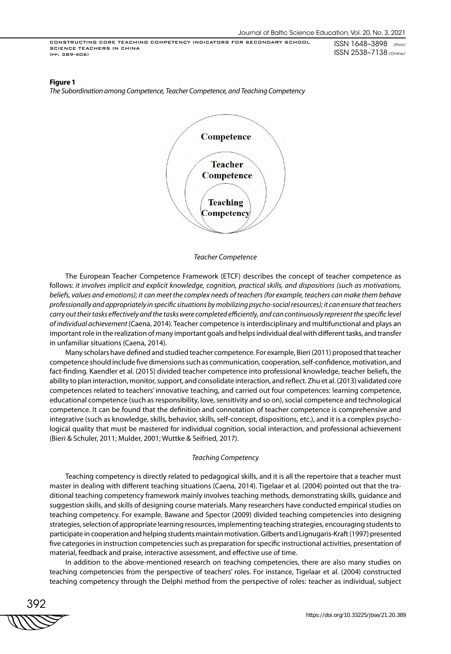ISSN 1648–3898 /Print/ ISSN 2538–7138 /Online/

#### **Figure 1**

*The Subordination among Competence, Teacher Competence, and Teaching Competency*



#### *Teacher Competence*

The European Teacher Competence Framework (ETCF) describes the concept of teacher competence as follows: *it involves implicit and explicit knowledge, cognition, practical skills, and dispositions (such as motivations,*  beliefs, values and emotions); it can meet the complex needs of teachers (for example, teachers can make them behave *professionally and appropriately in specific situations by mobilizing psycho-social resources); it can ensure that teachers carry out their tasks effectively and the tasks were completed efficiently, and can continuously represent the specific level of individual achievement* (Caena, 2014). Teacher competence is interdisciplinary and multifunctional and plays an important role in the realization of many important goals and helps individual deal with different tasks, and transfer in unfamiliar situations (Caena, 2014).

Many scholars have defined and studied teacher competence. For example, Bieri (2011) proposed that teacher competence should include five dimensions such as communication, cooperation, self-confidence, motivation, and fact-finding. Kaendler et al. (2015) divided teacher competence into professional knowledge, teacher beliefs, the ability to plan interaction, monitor, support, and consolidate interaction, and reflect. Zhu et al. (2013) validated core competences related to teachers' innovative teaching, and carried out four competences: learning competence, educational competence (such as responsibility, love, sensitivity and so on), social competence and technological competence. It can be found that the definition and connotation of teacher competence is comprehensive and integrative (such as knowledge, skills, behavior, skills, self-concept, dispositions, etc.), and it is a complex psychological quality that must be mastered for individual cognition, social interaction, and professional achievement (Bieri & Schuler, 2011; Mulder, 2001; Wuttke & Seifried, 2017).

### *Teaching Competency*

Teaching competency is directly related to pedagogical skills, and it is all the repertoire that a teacher must master in dealing with different teaching situations (Caena, 2014). Tigelaar et al. (2004) pointed out that the traditional teaching competency framework mainly involves teaching methods, demonstrating skills, guidance and suggestion skills, and skills of designing course materials. Many researchers have conducted empirical studies on teaching competency. For example, Bawane and Spector (2009) divided teaching competencies into designing strategies, selection of appropriate learning resources, implementing teaching strategies, encouraging students to participate in cooperation and helping students maintain motivation. Gilberts and Lignugaris-Kraft (1997) presented five categories in instruction competencies such as preparation for specific instructional activities, presentation of material, feedback and praise, interactive assessment, and effective use of time.

In addition to the above-mentioned research on teaching competencies, there are also many studies on teaching competencies from the perspective of teachers' roles. For instance, Tigelaar et al. (2004) constructed teaching competency through the Delphi method from the perspective of roles: teacher as individual, subject

392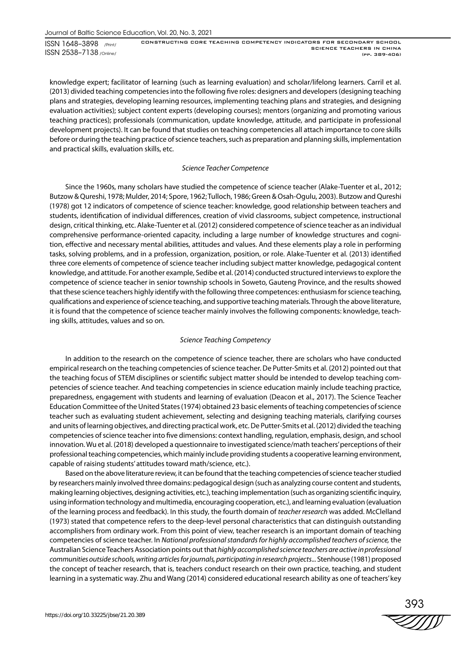ISSN 1648–3898 /Print/ ISSN 2538–7138 /Online/

CONSTRUCTING CORE TEACHING COMPETENCY INDICATORS FOR SECONDARY SCHOOL SCIENCE TEACHERS IN CHINA (pp. 389-406)

knowledge expert; facilitator of learning (such as learning evaluation) and scholar/lifelong learners. Carril et al. (2013) divided teaching competencies into the following five roles: designers and developers (designing teaching plans and strategies, developing learning resources, implementing teaching plans and strategies, and designing evaluation activities); subject content experts (developing courses); mentors (organizing and promoting various teaching practices); professionals (communication, update knowledge, attitude, and participate in professional development projects). It can be found that studies on teaching competencies all attach importance to core skills before or during the teaching practice of science teachers, such as preparation and planning skills, implementation and practical skills, evaluation skills, etc.

# *Science Teacher Competence*

Since the 1960s, many scholars have studied the competence of science teacher (Alake-Tuenter et al., 2012; Butzow & Qureshi, 1978; Mulder, 2014; Spore, 1962; Tulloch, 1986; Green & Osah-Ogulu, 2003). Butzow and Qureshi (1978) got 12 indicators of competence of science teacher: knowledge, good relationship between teachers and students, identification of individual differences, creation of vivid classrooms, subject competence, instructional design, critical thinking, etc. Alake-Tuenter et al. (2012) considered competence of science teacher as an individual comprehensive performance-oriented capacity, including a large number of knowledge structures and cognition, effective and necessary mental abilities, attitudes and values. And these elements play a role in performing tasks, solving problems, and in a profession, organization, position, or role. Alake-Tuenter et al. (2013) identified three core elements of competence of science teacher including subject matter knowledge, pedagogical content knowledge, and attitude. For another example, Sedibe et al. (2014) conducted structured interviews to explore the competence of science teacher in senior township schools in Soweto, Gauteng Province, and the results showed that these science teachers highly identify with the following three competences: enthusiasm for science teaching, qualifications and experience of science teaching, and supportive teaching materials. Through the above literature, it is found that the competence of science teacher mainly involves the following components: knowledge, teaching skills, attitudes, values and so on.

# *Science Teaching Competency*

In addition to the research on the competence of science teacher, there are scholars who have conducted empirical research on the teaching competencies of science teacher. De Putter-Smits et al. (2012) pointed out that the teaching focus of STEM disciplines or scientific subject matter should be intended to develop teaching competencies of science teacher. And teaching competencies in science education mainly include teaching practice, preparedness, engagement with students and learning of evaluation (Deacon et al., 2017). The Science Teacher Education Committee of the United States (1974) obtained 23 basic elements of teaching competencies of science teacher such as evaluating student achievement, selecting and designing teaching materials, clarifying courses and units of learning objectives, and directing practical work, etc. De Putter-Smits et al. (2012) divided the teaching competencies of science teacher into five dimensions: context handling, regulation, emphasis, design, and school innovation.Wu et al. (2018) developed a questionnaire to investigated science/math teachers' perceptions of their professional teaching competencies, which mainly include providing students a cooperative learning environment, capable of raising students' attitudes toward math/science, etc.).

Based on the above literature review, it can be found that the teaching competencies of science teacher studied by researchers mainly involved three domains: pedagogical design (such as analyzing course content and students, making learning objectives, designing activities, etc.), teaching implementation (such as organizing scientific inquiry, using information technology and multimedia, encouraging cooperation, etc.), and learning evaluation (evaluation of the learning process and feedback). In this study, the fourth domain of *teacher research* was added. McClelland (1973) stated that competence refers to the deep-level personal characteristics that can distinguish outstanding accomplishers from ordinary work. From this point of view, teacher research is an important domain of teaching competencies of science teacher. In *National professional standards for highly accomplished teachers of science,* the Australian Science Teachers Association points out that *highly accomplished science teachers are active in professional communities outside schools, writing articles for journals, participating in research projects*... Stenhouse (1981) proposed the concept of teacher research, that is, teachers conduct research on their own practice, teaching, and student learning in a systematic way. Zhu and Wang (2014) considered educational research ability as one of teachers' key

393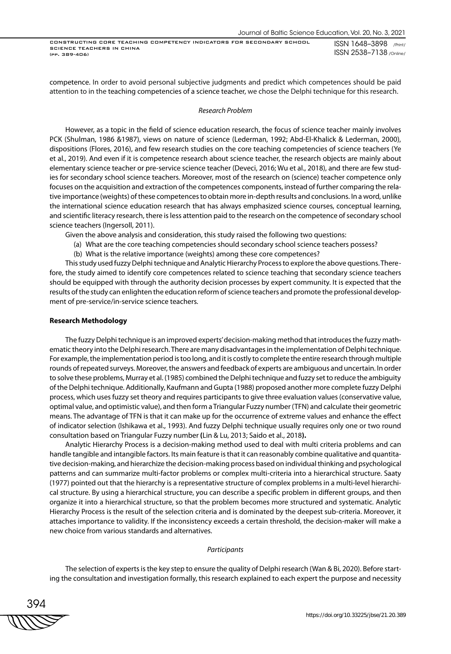ISSN 1648–3898 /Print/ ISSN 2538–7138 /Online/

competence. In order to avoid personal subjective judgments and predict which competences should be paid attention to in the teaching competencies of a science teacher, we chose the Delphi technique for this research.

#### *Research Problem*

However, as a topic in the field of science education research, the focus of science teacher mainly involves PCK (Shulman, 1986 &1987), views on nature of science (Lederman, 1992; Abd-El-Khalick & Lederman, 2000), dispositions (Flores, 2016), and few research studies on the core teaching competencies of science teachers (Ye et al., 2019). And even if it is competence research about science teacher, the research objects are mainly about elementary science teacher or pre-service science teacher (Deveci, 2016; Wu et al., 2018), and there are few studies for secondary school science teachers. Moreover, most of the research on (science) teacher competence only focuses on the acquisition and extraction of the competences components, instead of further comparing the relative importance (weights) of these competences to obtain more in-depth results and conclusions. In a word, unlike the international science education research that has always emphasized science courses, conceptual learning, and scientific literacy research, there is less attention paid to the research on the competence of secondary school science teachers (Ingersoll, 2011).

Given the above analysis and consideration, this study raised the following two questions:

- (a) What are the core teaching competencies should secondary school science teachers possess?
- (b) What is the relative importance (weights) among these core competences?

This study used fuzzy Delphi technique and Analytic Hierarchy Process to explore the above questions. Therefore, the study aimed to identify core competences related to science teaching that secondary science teachers should be equipped with through the authority decision processes by expert community. It is expected that the results of the study can enlighten the education reform of science teachers and promote the professional development of pre-service/in-service science teachers.

### **Research Methodology**

The fuzzy Delphi technique is an improved experts' decision-making method that introduces the fuzzy mathematic theory into the Delphi research. There are many disadvantages in the implementation of Delphi technique. For example, the implementation period is too long, and it is costly to complete the entire research through multiple rounds of repeated surveys. Moreover, the answers and feedback of experts are ambiguous and uncertain. In order to solve these problems, Murray et al. (1985) combined the Delphi technique and fuzzy set to reduce the ambiguity of the Delphi technique. Additionally, Kaufmann and Gupta (1988) proposed another more complete fuzzy Delphi process, which uses fuzzy set theory and requires participants to give three evaluation values (conservative value, optimal value, and optimistic value), and then form a Triangular Fuzzy number (TFN) and calculate their geometric means. The advantage of TFN is that it can make up for the occurrence of extreme values and enhance the effect of indicator selection (Ishikawa et al., 1993). And fuzzy Delphi technique usually requires only one or two round consultation based on Triangular Fuzzy number **(**Lin & Lu, 2013; Saido et al., 2018**).**

Analytic Hierarchy Process is a decision-making method used to deal with multi criteria problems and can handle tangible and intangible factors. Its main feature is that it can reasonably combine qualitative and quantitative decision-making, and hierarchize the decision-making process based on individual thinking and psychological patterns and can summarize multi-factor problems or complex multi-criteria into a hierarchical structure. Saaty (1977) pointed out that the hierarchy is a representative structure of complex problems in a multi-level hierarchical structure. By using a hierarchical structure, you can describe a specific problem in different groups, and then organize it into a hierarchical structure, so that the problem becomes more structured and systematic. Analytic Hierarchy Process is the result of the selection criteria and is dominated by the deepest sub-criteria. Moreover, it attaches importance to validity. If the inconsistency exceeds a certain threshold, the decision-maker will make a new choice from various standards and alternatives.

# *Participants*

The selection of experts is the key step to ensure the quality of Delphi research (Wan & Bi, 2020). Before starting the consultation and investigation formally, this research explained to each expert the purpose and necessity

394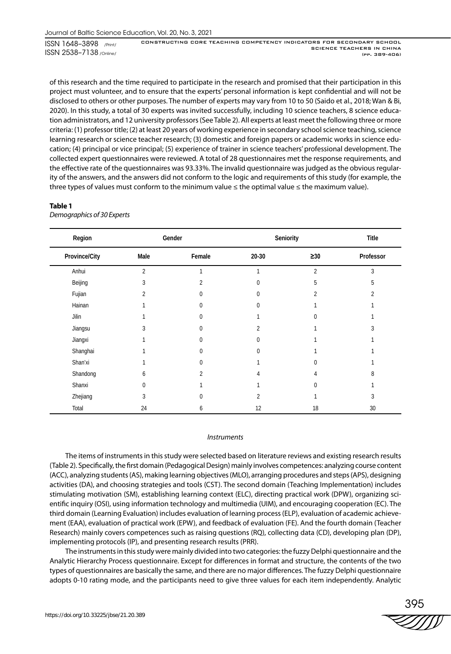of this research and the time required to participate in the research and promised that their participation in this project must volunteer, and to ensure that the experts' personal information is kept confidential and will not be disclosed to others or other purposes. The number of experts may vary from 10 to 50 (Saido et al., 2018; Wan & Bi, 2020). In this study, a total of 30 experts was invited successfully, including 10 science teachers, 8 science education administrators, and 12 university professors (See Table 2). All experts at least meet the following three or more criteria: (1) professor title; (2) at least 20 years of working experience in secondary school science teaching, science learning research or science teacher research; (3) domestic and foreign papers or academic works in science education; (4) principal or vice principal; (5) experience of trainer in science teachers' professional development. The collected expert questionnaires were reviewed. A total of 28 questionnaires met the response requirements, and the effective rate of the questionnaires was 93.33%. The invalid questionnaire was judged as the obvious regularity of the answers, and the answers did not conform to the logic and requirements of this study (for example, the three types of values must conform to the minimum value  $\leq$  the optimal value  $\leq$  the maximum value).

# **Table 1**

*Demographics of 30 Experts*

| Region        |                | Gender       | Seniority      | Title          |                |
|---------------|----------------|--------------|----------------|----------------|----------------|
| Province/City | Male           | Female       | 20-30          | $\geq 30$      | Professor      |
| Anhui         | $\overline{2}$ |              | 1              | $\overline{2}$ | 3              |
| Beijing       | 3              | 2            | $\mathbf{0}$   | 5              | 5              |
| Fujian        | 2              | $\mathbf{0}$ | $\mathbf{0}$   | $\overline{2}$ | $\overline{2}$ |
| Hainan        |                | $\Omega$     | $\mathbf{0}$   |                |                |
| Jilin         |                | 0            |                | 0              |                |
| Jiangsu       | 3              | 0            | 2              |                | 3              |
| Jiangxi       |                | 0            | $\mathbf{0}$   |                |                |
| Shanghai      |                | 0            | $\mathbf{0}$   |                |                |
| Shan'xi       |                | U            |                | U              |                |
| Shandong      | 6              | 2            | 4              | 4              | 8              |
| Shanxi        | 0              |              |                | 0              |                |
| Zhejiang      | 3              | U            | $\overline{2}$ |                | 3              |
| Total         | 24             | 6            | 12             | 18             | 30             |

#### *Instruments*

The items of instruments in this study were selected based on literature reviews and existing research results (Table 2). Specifically, the first domain (Pedagogical Design) mainly involves competences: analyzing course content (ACC), analyzing students (AS), making learning objectives (MLO), arranging procedures and steps (APS), designing activities (DA), and choosing strategies and tools (CST). The second domain (Teaching Implementation) includes stimulating motivation (SM), establishing learning context (ELC), directing practical work (DPW), organizing scientific inquiry (OSI), using information technology and multimedia (UIM), and encouraging cooperation (EC). The third domain (Learning Evaluation) includes evaluation of learning process (ELP), evaluation of academic achievement (EAA), evaluation of practical work (EPW), and feedback of evaluation (FE). And the fourth domain (Teacher Research) mainly covers competences such as raising questions (RQ), collecting data (CD), developing plan (DP), implementing protocols (IP), and presenting research results (PRR).

The instruments in this study were mainly divided into two categories: the fuzzy Delphi questionnaire and the Analytic Hierarchy Process questionnaire. Except for differences in format and structure, the contents of the two types of questionnaires are basically the same, and there are no major differences. The fuzzy Delphi questionnaire adopts 0-10 rating mode, and the participants need to give three values for each item independently. Analytic

395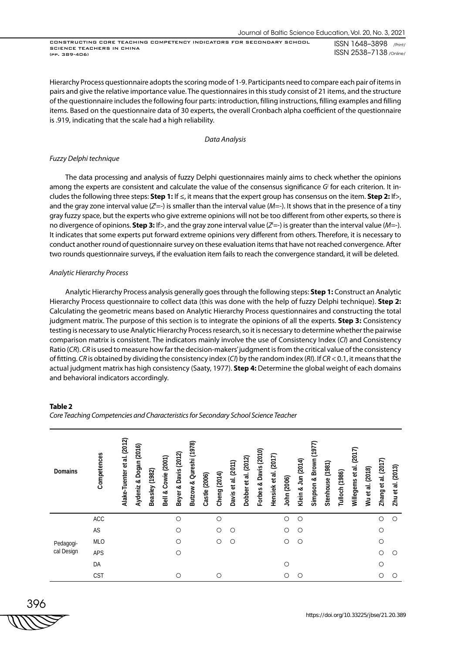Hierarchy Process questionnaire adopts the scoring mode of 1-9. Participants need to compare each pair of items in pairs and give the relative importance value. The questionnaires in this study consist of 21 items, and the structure of the questionnaire includes the following four parts: introduction, filling instructions, filling examples and filling items. Based on the questionnaire data of 30 experts, the overall Cronbach alpha coefficient of the questionnaire is .919, indicating that the scale had a high reliability.

*Data Analysis*

#### *Fuzzy Delphi technique*

The data processing and analysis of fuzzy Delphi questionnaires mainly aims to check whether the opinions among the experts are consistent and calculate the value of the consensus significance *Gi* for each criterion. It includes the following three steps: **Step 1:** If ≤, it means that the expert group has consensus on the item. **Step 2:** If>, and the gray zone interval value (*Zi =*-) is smaller than the interval value (*M=*-). It shows that in the presence of a tiny gray fuzzy space, but the experts who give extreme opinions will not be too different from other experts, so there is no divergence of opinions. **Step 3:** If>, and the gray zone interval value (*Zi =*-) is greater than the interval value (*M=*-). It indicates that some experts put forward extreme opinions very different from others. Therefore, it is necessary to conduct another round of questionnaire survey on these evaluation items that have not reached convergence. After two rounds questionnaire surveys, if the evaluation item fails to reach the convergence standard, it will be deleted.

# *Analytic Hierarchy Process*

Analytic Hierarchy Process analysis generally goes through the following steps: **Step 1:** Construct an Analytic Hierarchy Process questionnaire to collect data (this was done with the help of fuzzy Delphi technique). **Step 2:** Calculating the geometric means based on Analytic Hierarchy Process questionnaires and constructing the total judgment matrix. The purpose of this section is to integrate the opinions of all the experts. **Step 3:** Consistency testing is necessary to use Analytic Hierarchy Process research, so it is necessary to determine whether the pairwise comparison matrix is consistent. The indicators mainly involve the use of Consistency Index (*CI*) and Consistency Ratio (*CR*). *CR* is used to measure how far the decision-makers' judgment is from the critical value of the consistency of fitting. *CR* is obtained by dividing the consistency index (*CI*) by the random index (*RI*). If *CR* < 0.1, it means that the actual judgment matrix has high consistency (Saaty, 1977). **Step 4:** Determine the global weight of each domains and behavioral indicators accordingly.

# **Table 2**

*Core Teaching Competencies and Characteristics for Secondary School Science Teacher*

| <b>Domains</b> | Competences | Alake-Tuenter et al. (2012) | Aydeniz & Dogan (2016) | Beasley (1982) | Bell & Cowie (2001) | Beyer & Davis (2012) | Butzow & Qureshi (1978) | Castle (2006) | Cheng (2014) | Davis et al. (2011) | Dobber et al. (2012) | Forbes & Davis (2010) | Hensiek et al. (2017) | John (2006) | Klein & Jun (2014) | Simpson & Brown (1977) | Stenhouse (1981) | Tulloch (1986) | Willegems et al. (2017) | Wu et al. (2018) | Zhang et al. (2017) | Zhu et al. (2013) |
|----------------|-------------|-----------------------------|------------------------|----------------|---------------------|----------------------|-------------------------|---------------|--------------|---------------------|----------------------|-----------------------|-----------------------|-------------|--------------------|------------------------|------------------|----------------|-------------------------|------------------|---------------------|-------------------|
|                | ACC         |                             |                        |                |                     | $\circ$              |                         |               | $\circ$      |                     |                      |                       |                       | $\circ$     | $\circ$            |                        |                  |                |                         |                  | $\circ$             | $\circ$           |
|                | AS          |                             |                        |                |                     | $\circ$              |                         |               | $\circ$      | $\circ$             |                      |                       |                       | $\circ$     | О                  |                        |                  |                |                         |                  | $\circ$             |                   |
| Pedagogi-      | <b>MLO</b>  |                             |                        |                |                     | $\circ$              |                         |               | $\circ$      | $\circ$             |                      |                       |                       | O           | О                  |                        |                  |                |                         |                  | $\circ$             |                   |
| cal Design     | <b>APS</b>  |                             |                        |                |                     | $\circ$              |                         |               |              |                     |                      |                       |                       |             |                    |                        |                  |                |                         |                  | $\circ$             | $\circ$           |
|                | DA          |                             |                        |                |                     |                      |                         |               |              |                     |                      |                       |                       | $\circ$     |                    |                        |                  |                |                         |                  | $\circ$             |                   |
|                | <b>CST</b>  |                             |                        |                |                     | O                    |                         |               | O            |                     |                      |                       |                       | Ο           | Ο                  |                        |                  |                |                         |                  | O                   | О                 |

$$
\frac{396}{\sqrt{11133}}
$$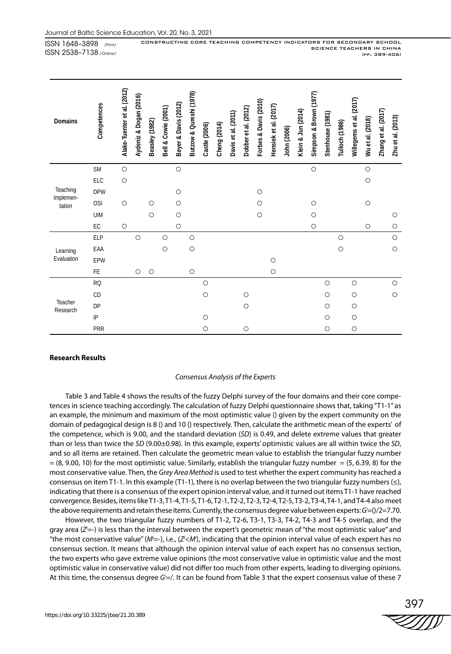| Domains               | Competences   | Alake-Tuenter et al. (2012) | Aydeniz & Dogan (2016) | Beasley (1982) | Bell & Cowie (2001) | Beyer & Davis (2012) | Butzow & Qureshi (1978) | Castle (2006) | Cheng (2014) | Davis et al. (2011) | Dobber et al. (2012) | Forbes & Davis (2010) | Hensiek et al. (2017) | John (2006) | Klein & Jun (2014) | Simpson & Brown (1977) | Stenhouse (1981) | Tulloch (1986) | Willegems et al. (2017) | Wu et al. (2018) | Zhang et al. (2017) | Zhu et al. (2013) |
|-----------------------|---------------|-----------------------------|------------------------|----------------|---------------------|----------------------|-------------------------|---------------|--------------|---------------------|----------------------|-----------------------|-----------------------|-------------|--------------------|------------------------|------------------|----------------|-------------------------|------------------|---------------------|-------------------|
|                       | <b>SM</b>     | $\bigcirc$                  |                        |                |                     | $\bigcirc$           |                         |               |              |                     |                      |                       |                       |             |                    | $\bigcirc$             |                  |                |                         | $\bigcirc$       |                     |                   |
|                       | ELC           | $\circ$                     |                        |                |                     |                      |                         |               |              |                     |                      |                       |                       |             |                    |                        |                  |                |                         | $\bigcirc$       |                     |                   |
| Teaching<br>Implemen- | <b>DPW</b>    |                             |                        |                |                     | $\circ$              |                         |               |              |                     |                      | $\circ$               |                       |             |                    |                        |                  |                |                         |                  |                     |                   |
| tation                | <b>OSI</b>    | $\circ$                     |                        | $\circ$        |                     | $\circ$              |                         |               |              |                     |                      | $\circ$               |                       |             |                    | $\circ$                |                  |                |                         | $\circ$          |                     |                   |
|                       | <b>UIM</b>    |                             |                        | $\circ$        |                     | $\circ$              |                         |               |              |                     |                      | $\circ$               |                       |             |                    | $\circ$                |                  |                |                         |                  |                     | $\circ$           |
|                       | $\mathsf{EC}$ | $\circ$                     |                        |                |                     | $\circ$              |                         |               |              |                     |                      |                       |                       |             |                    | $\circ$                |                  |                |                         | $\circ$          |                     | $\circ$           |
|                       | <b>ELP</b>    |                             | $\circ$                |                | $\circ$             |                      | $\circ$                 |               |              |                     |                      |                       |                       |             |                    |                        |                  | $\circ$        |                         |                  |                     | $\circ$           |
| Learning              | EAA           |                             |                        |                | $\circ$             |                      | $\bigcirc$              |               |              |                     |                      |                       |                       |             |                    |                        |                  | $\bigcirc$     |                         |                  |                     | $\circ$           |
| Evaluation            | EPW           |                             |                        |                |                     |                      |                         |               |              |                     |                      |                       | $\circ$               |             |                    |                        |                  |                |                         |                  |                     |                   |
|                       | FE            |                             | $\circ$                | $\circ$        |                     |                      | $\circ$                 |               |              |                     |                      |                       | $\circ$               |             |                    |                        |                  |                |                         |                  |                     |                   |
|                       | <b>RQ</b>     |                             |                        |                |                     |                      |                         | $\circ$       |              |                     |                      |                       |                       |             |                    |                        | $\circ$          |                | $\circ$                 |                  |                     | $\bigcirc$        |
|                       | CD            |                             |                        |                |                     |                      |                         | $\circ$       |              |                     | $\circ$              |                       |                       |             |                    |                        | $\circ$          |                | $\circ$                 |                  |                     | $\circ$           |
| Teacher<br>Research   | DP            |                             |                        |                |                     |                      |                         |               |              |                     | $\circ$              |                       |                       |             |                    |                        | $\circ$          |                | O                       |                  |                     |                   |
|                       | $\sf IP$      |                             |                        |                |                     |                      |                         | $\circ$       |              |                     |                      |                       |                       |             |                    |                        | $\circ$          |                | $\circ$                 |                  |                     |                   |
|                       | PRR           |                             |                        |                |                     |                      |                         | $\circ$       |              |                     | $\circ$              |                       |                       |             |                    |                        | $\circ$          |                | $\bigcirc$              |                  |                     |                   |

# **Research Results**

#### *Consensus Analysis of the Experts*

Table 3 and Table 4 shows the results of the fuzzy Delphi survey of the four domains and their core competences in science teaching accordingly. The calculation of fuzzy Delphi questionnaire shows that, taking "T1-1" as an example, the minimum and maximum of the most optimistic value () given by the expert community on the domain of pedagogical design is 8 () and 10 () respectively. Then, calculate the arithmetic mean of the experts' of the competence, which is 9.00, and the standard deviation (*SD*) is 0.49, and delete extreme values that greater than or less than twice the *SD* (9.00±0.98). In this example, experts' optimistic values are all within twice the *SD*, and so all items are retained. Then calculate the geometric mean value to establish the triangular fuzzy number  $= (8, 9.00, 10)$  for the most optimistic value. Similarly, establish the triangular fuzzy number  $= (5, 6.39, 8)$  for the most conservative value. Then, the *Grey Area Method* is used to test whether the expert community has reached a consensus on item T1-1. In this example (T1-1), there is no overlap between the two triangular fuzzy numbers (≤), indicating that there is a consensus of the expert opinion interval value, and it turned out items T1-1 have reached convergence. Besides, items like T1-3, T1-4, T1-5, T1-6, T2-1, T2-2, T2-3, T2-4, T2-5, T3-2, T3-4, T4-1, and T4-4 also meet the above requirements and retain these items. Currently, the consensus degree value between experts: *Gi* =()/2=7.70.

However, the two triangular fuzzy numbers of T1-2, T2-6, T3-1, T3-3, T4-2, T4-3 and T4-5 overlap, and the gray area (*Zi* =-) is less than the interval between the expert's geometric mean of "the most optimistic value" and "the most conservative value" (M<sup>i</sup>=-), i.e., (*Z*<sup>'</sup><M'), indicating that the opinion interval value of each expert has no consensus section. It means that although the opinion interval value of each expert has no consensus section, the two experts who gave extreme value opinions (the most conservative value in optimistic value and the most optimistic value in conservative value) did not differ too much from other experts, leading to diverging opinions. At this time, the consensus degree *Gi* =/. It can be found from Table 3 that the expert consensus value of these 7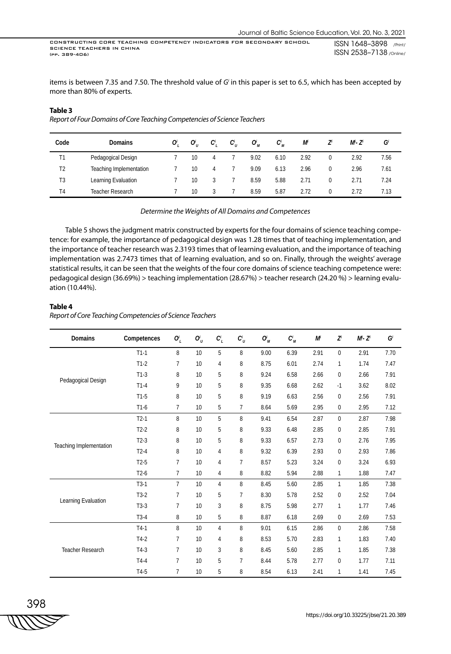items is between 7.35 and 7.50. The threshold value of *Gi* in this paper is set to 6.5, which has been accepted by more than 80% of experts.

#### **Table 3**

*Report of Four Domains of Core Teaching Competencies of Science Teachers*

| Code           | <b>Domains</b>                 | 0 | $O_{\scriptscriptstyle U}^i$ | C <sub>'</sub> | $C_{\scriptscriptstyle U}^i$ | $O_M^i$ | $C_M^i$ | M    | Z        | M'- Z' | G    |
|----------------|--------------------------------|---|------------------------------|----------------|------------------------------|---------|---------|------|----------|--------|------|
| T1             | Pedagogical Design             |   | 10                           |                |                              | 9.02    | 6.10    | 2.92 | $\Omega$ | 2.92   | 7.56 |
| T <sub>2</sub> | <b>Teaching Implementation</b> |   | 10                           | 4              |                              | 9.09    | 6.13    | 2.96 | 0        | 2.96   | 7.61 |
| T3             | Learning Evaluation            |   | 10                           |                |                              | 8.59    | 5.88    | 2.71 |          | 2.71   | 7.24 |
| T <sub>4</sub> | Teacher Research               |   | 10                           |                |                              | 8.59    | 5.87    | 2.72 | 0        | 2.72   | 7.13 |

*Determine the Weights of All Domains and Competences*

Table 5 shows the judgment matrix constructed by experts for the four domains of science teaching competence: for example, the importance of pedagogical design was 1.28 times that of teaching implementation, and the importance of teacher research was 2.3193 times that of learning evaluation, and the importance of teaching implementation was 2.7473 times that of learning evaluation, and so on. Finally, through the weights' average statistical results, it can be seen that the weights of the four core domains of science teaching competence were: pedagogical design (36.69%) > teaching implementation (28.67%) > teacher research (24.20 %) > learning evaluation (10.44%).

#### **Table 4**

*Report of Core Teaching Competencies of Science Teachers*

| Domains                 | Competences | $O_L^i$        | $O_U'$ | $C_L^i$        | $C_U^i$ | $O_M^i$ | $C_M^i$ | M    | $Z^{i}$      | $M^i$ - Z <sup>i</sup> | G    |
|-------------------------|-------------|----------------|--------|----------------|---------|---------|---------|------|--------------|------------------------|------|
|                         | $T1-1$      | 8              | 10     | 5              | 8       | 9.00    | 6.39    | 2.91 | $\mathbf{0}$ | 2.91                   | 7.70 |
|                         | $T1-2$      | $\overline{7}$ | 10     | 4              | 8       | 8.75    | 6.01    | 2.74 | 1            | 1.74                   | 7.47 |
|                         | $T1-3$      | 8              | 10     | 5              | 8       | 9.24    | 6.58    | 2.66 | $\mathbf{0}$ | 2.66                   | 7.91 |
| Pedagogical Design      | $T1-4$      | 9              | 10     | 5              | 8       | 9.35    | 6.68    | 2.62 | $-1$         | 3.62                   | 8.02 |
|                         | $T1-5$      | 8              | 10     | 5              | 8       | 9.19    | 6.63    | 2.56 | $\mathbf 0$  | 2.56                   | 7.91 |
|                         | $T1-6$      | $\overline{7}$ | 10     | 5              | 7       | 8.64    | 5.69    | 2.95 | 0            | 2.95                   | 7.12 |
|                         | $T2-1$      | 8              | 10     | 5              | 8       | 9.41    | 6.54    | 2.87 | $\mathbf 0$  | 2.87                   | 7.98 |
|                         | $T2-2$      | 8              | 10     | 5              | 8       | 9.33    | 6.48    | 2.85 | $\mathbf 0$  | 2.85                   | 7.91 |
|                         | $T2-3$      | 8              | 10     | 5              | 8       | 9.33    | 6.57    | 2.73 | 0            | 2.76                   | 7.95 |
| Teaching Implementation | $T2-4$      | 8              | 10     | 4              | 8       | 9.32    | 6.39    | 2.93 | 0            | 2.93                   | 7.86 |
|                         | $T2-5$      | $\overline{7}$ | 10     | 4              | 7       | 8.57    | 5.23    | 3.24 | $\bf{0}$     | 3.24                   | 6.93 |
|                         | $T2-6$      | 7              | 10     | 4              | 8       | 8.82    | 5.94    | 2.88 | 1            | 1.88                   | 7.47 |
|                         | $T3-1$      | $\overline{7}$ | 10     | 4              | 8       | 8.45    | 5.60    | 2.85 | 1            | 1.85                   | 7.38 |
|                         | $T3-2$      | $\overline{7}$ | 10     | $5\,$          | 7       | 8.30    | 5.78    | 2.52 | 0            | 2.52                   | 7.04 |
| Learning Evaluation     | $T3-3$      | $\overline{7}$ | 10     | 3              | 8       | 8.75    | 5.98    | 2.77 | $\mathbf{1}$ | 1.77                   | 7.46 |
|                         | $T3-4$      | 8              | 10     | 5              | 8       | 8.87    | 6.18    | 2.69 | 0            | 2.69                   | 7.53 |
|                         | $T4-1$      | 8              | 10     | $\overline{4}$ | 8       | 9.01    | 6.15    | 2.86 | $\mathbf 0$  | 2.86                   | 7.58 |
| <b>Teacher Research</b> | $T4-2$      | $\overline{7}$ | 10     | 4              | 8       | 8.53    | 5.70    | 2.83 | $\mathbf{1}$ | 1.83                   | 7.40 |
|                         | $T4-3$      | $\overline{7}$ | 10     | 3              | 8       | 8.45    | 5.60    | 2.85 | 1            | 1.85                   | 7.38 |
|                         | $T4-4$      | $\overline{7}$ | 10     | 5              | 7       | 8.44    | 5.78    | 2.77 | 0            | 1.77                   | 7.11 |
|                         | T4-5        | $\overline{7}$ | 10     | 5              | 8       | 8.54    | 6.13    | 2.41 | 1            | 1.41                   | 7.45 |

$$
\frac{398}{1111755}
$$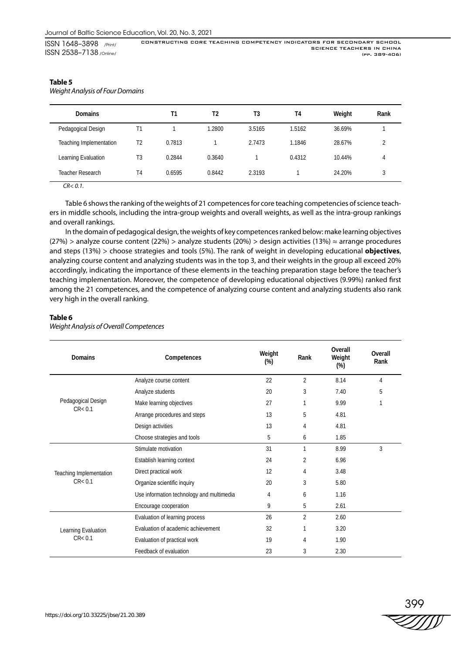# **Table 5**

*Weight Analysis of Four Domains*

| <b>Domains</b>          |                | T1     | T2     | T3     | T4     | Weight | Rank |
|-------------------------|----------------|--------|--------|--------|--------|--------|------|
| Pedagogical Design      | Τ1             |        | 1.2800 | 3.5165 | 1.5162 | 36.69% |      |
| Teaching Implementation | T <sub>2</sub> | 0.7813 |        | 2.7473 | 1.1846 | 28.67% |      |
| Learning Evaluation     | T3             | 0.2844 | 0.3640 |        | 0.4312 | 10.44% | 4    |
| <b>Teacher Research</b> | T4             | 0.6595 | 0.8442 | 2.3193 |        | 24.20% | 3    |
| $\sim$ $\sim$ $\sim$    |                |        |        |        |        |        |      |

*CR< 0.1.*

Table 6 shows the ranking of the weights of 21 competences for core teaching competencies of science teachers in middle schools, including the intra-group weights and overall weights, as well as the intra-group rankings and overall rankings.

In the domain of pedagogical design, the weights of key competences ranked below: make learning objectives (27%) > analyze course content (22%) > analyze students (20%) > design activities (13%) ≈ arrange procedures and steps (13%) > choose strategies and tools (5%). The rank of weight in developing educational **objectives**, analyzing course content and analyzing students was in the top 3, and their weights in the group all exceed 20% accordingly, indicating the importance of these elements in the teaching preparation stage before the teacher's teaching implementation. Moreover, the competence of developing educational objectives (9.99%) ranked first among the 21 competences, and the competence of analyzing course content and analyzing students also rank very high in the overall ranking.

# **Table 6**

| <b>Domains</b>          | Competences                               | Weight<br>$(\%)$ | Rank           | <b>Overall</b><br>Weight<br>$(\%)$ | Overall<br>Rank |
|-------------------------|-------------------------------------------|------------------|----------------|------------------------------------|-----------------|
|                         | Analyze course content                    | 22               | $\overline{2}$ | 8.14                               | 4               |
|                         | Analyze students                          | 20               | 3              | 7.40                               | 5               |
| Pedagogical Design      | Make learning objectives                  | 27               | 1              | 9.99                               | 1               |
| CR < 0.1                | Arrange procedures and steps              | 13               | 5              | 4.81                               |                 |
|                         | Design activities                         | 13               | 4              | 4.81                               |                 |
|                         | Choose strategies and tools               | 5                | 6              | 1.85                               |                 |
|                         | Stimulate motivation                      | 31               | 1              | 8.99                               | 3               |
|                         | Establish learning context                | 24               | 2              | 6.96                               |                 |
| Teaching Implementation | Direct practical work                     | 12               | 4              | 3.48                               |                 |
| CR < 0.1                | Organize scientific inquiry               | 20               | 3              | 5.80                               |                 |
|                         | Use information technology and multimedia | 4                | 6              | 1.16                               |                 |
|                         | Encourage cooperation                     | 9                | 5              | 2.61                               |                 |
|                         | Evaluation of learning process            | 26               | $\overline{2}$ | 2.60                               |                 |
| Learning Evaluation     | Evaluation of academic achievement        | 32               | 1              | 3.20                               |                 |
| CR < 0.1                | Evaluation of practical work              | 19               | 4              | 1.90                               |                 |
|                         | Feedback of evaluation                    | 23               | 3              | 2.30                               |                 |

*Weight Analysis of Overall Competences*

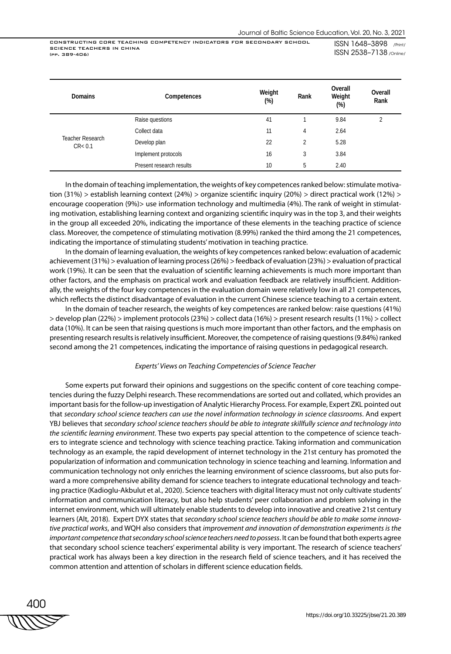ISSN 1648–3898 /Print/ ISSN 2538–7138 /Online/

| <b>Domains</b>               | Competences              | Weight<br>$(\%)$ | Rank           | Overall<br>Weight<br>$(\%)$ | Overall<br>Rank |
|------------------------------|--------------------------|------------------|----------------|-----------------------------|-----------------|
|                              | Raise questions          | 41               |                | 9.84                        | 2               |
|                              | Collect data             | 11               | 4              | 2.64                        |                 |
| Teacher Research<br>CR < 0.1 | Develop plan             | 22               | $\overline{2}$ | 5.28                        |                 |
|                              | Implement protocols      | 16               | 3              | 3.84                        |                 |
|                              | Present research results | 10               | 5              | 2.40                        |                 |

In the domain of teaching implementation, the weights of key competences ranked below: stimulate motivation (31%) > establish learning context (24%) > organize scientific inquiry (20%) > direct practical work (12%) > encourage cooperation (9%)> use information technology and multimedia (4%). The rank of weight in stimulating motivation, establishing learning context and organizing scientific inquiry was in the top 3, and their weights in the group all exceeded 20%, indicating the importance of these elements in the teaching practice of science class. Moreover, the competence of stimulating motivation (8.99%) ranked the third among the 21 competences, indicating the importance of stimulating students' motivation in teaching practice.

In the domain of learning evaluation, the weights of key competences ranked below: evaluation of academic achievement (31%) > evaluation of learning process (26%) > feedback of evaluation (23%) > evaluation of practical work (19%). It can be seen that the evaluation of scientific learning achievements is much more important than other factors, and the emphasis on practical work and evaluation feedback are relatively insufficient. Additionally, the weights of the four key competences in the evaluation domain were relatively low in all 21 competences, which reflects the distinct disadvantage of evaluation in the current Chinese science teaching to a certain extent.

In the domain of teacher research, the weights of key competences are ranked below: raise questions (41%) > develop plan (22%) > implement protocols (23%) > collect data (16%) > present research results (11%) > collect data (10%). It can be seen that raising questions is much more important than other factors, and the emphasis on presenting research results is relatively insufficient. Moreover, the competence of raising questions (9.84%) ranked second among the 21 competences, indicating the importance of raising questions in pedagogical research.

#### *Experts' Views on Teaching Competencies of Science Teacher*

Some experts put forward their opinions and suggestions on the specific content of core teaching competencies during the fuzzy Delphi research. These recommendations are sorted out and collated, which provides an important basis for the follow-up investigation of Analytic Hierarchy Process. For example, Expert ZKL pointed out that *secondary school science teachers can use the novel information technology in science classrooms*. And expert YBJ believes that *secondary school science teachers should be able to integrate skillfully science and technology into the scientific learning environment*. These two experts pay special attention to the competence of science teachers to integrate science and technology with science teaching practice. Taking information and communication technology as an example, the rapid development of internet technology in the 21st century has promoted the popularization of information and communication technology in science teaching and learning. Information and communication technology not only enriches the learning environment of science classrooms, but also puts forward a more comprehensive ability demand for science teachers to integrate educational technology and teaching practice (Kadioglu-Akbulut et al., 2020). Science teachers with digital literacy must not only cultivate students' information and communication literacy, but also help students' peer collaboration and problem solving in the internet environment, which will ultimately enable students to develop into innovative and creative 21st century learners (Alt, 2018). Expert DYX states that *secondary school science teachers should be able to make some innovative practical works*, and WQH also considers that *improvement and innovation of demonstration experiments is the important competence that secondary school science teachers need to possess*. It can be found that both experts agree that secondary school science teachers' experimental ability is very important. The research of science teachers' practical work has always been a key direction in the research field of science teachers, and it has received the common attention and attention of scholars in different science education fields.

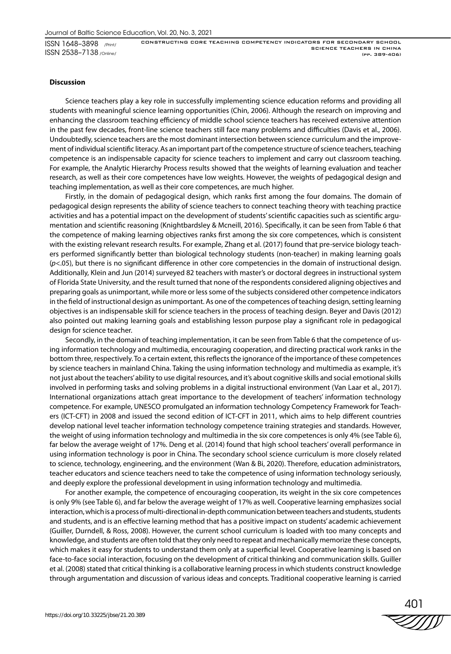#### **Discussion**

Science teachers play a key role in successfully implementing science education reforms and providing all students with meaningful science learning opportunities (Chin, 2006). Although the research on improving and enhancing the classroom teaching efficiency of middle school science teachers has received extensive attention in the past few decades, front-line science teachers still face many problems and difficulties (Davis et al., 2006). Undoubtedly, science teachers are the most dominant intersection between science curriculum and the improvement of individual scientific literacy. As an important part of the competence structure of science teachers, teaching competence is an indispensable capacity for science teachers to implement and carry out classroom teaching. For example, the Analytic Hierarchy Process results showed that the weights of learning evaluation and teacher research, as well as their core competences have low weights. However, the weights of pedagogical design and teaching implementation, as well as their core competences, are much higher.

Firstly, in the domain of pedagogical design, which ranks first among the four domains. The domain of pedagogical design represents the ability of science teachers to connect teaching theory with teaching practice activities and has a potential impact on the development of students' scientific capacities such as scientific argumentation and scientific reasoning (Knightbardsley & Mcneill, 2016). Specifically, it can be seen from Table 6 that the competence of making learning objectives ranks first among the six core competences, which is consistent with the existing relevant research results. For example, Zhang et al. (2017) found that pre-service biology teachers performed significantly better than biological technology students (non-teacher) in making learning goals (*p*<.05), but there is no significant difference in other core competencies in the domain of instructional design. Additionally, Klein and Jun (2014) surveyed 82 teachers with master's or doctoral degrees in instructional system of Florida State University, and the result turned that none of the respondents considered aligning objectives and preparing goals as unimportant, while more or less some of the subjects considered other competence indicators in the field of instructional design as unimportant. As one of the competences of teaching design, setting learning objectives is an indispensable skill for science teachers in the process of teaching design. Beyer and Davis (2012) also pointed out making learning goals and establishing lesson purpose play a significant role in pedagogical design for science teacher.

Secondly, in the domain of teaching implementation, it can be seen from Table 6 that the competence of using information technology and multimedia, encouraging cooperation, and directing practical work ranks in the bottom three, respectively. To a certain extent, this reflects the ignorance of the importance of these competences by science teachers in mainland China. Taking the using information technology and multimedia as example, it's not just about the teachers' ability to use digital resources, and it's about cognitive skills and social emotional skills involved in performing tasks and solving problems in a digital instructional environment (Van Laar et al., 2017). International organizations attach great importance to the development of teachers' information technology competence. For example, UNESCO promulgated an information technology Competency Framework for Teachers (ICT-CFT) in 2008 and issued the second edition of ICT-CFT in 2011, which aims to help different countries develop national level teacher information technology competence training strategies and standards. However, the weight of using information technology and multimedia in the six core competences is only 4% (see Table 6), far below the average weight of 17%. Deng et al. (2014) found that high school teachers' overall performance in using information technology is poor in China. The secondary school science curriculum is more closely related to science, technology, engineering, and the environment (Wan & Bi, 2020). Therefore, education administrators, teacher educators and science teachers need to take the competence of using information technology seriously, and deeply explore the professional development in using information technology and multimedia.

For another example, the competence of encouraging cooperation, its weight in the six core competences is only 9% (see Table 6), and far below the average weight of 17% as well. Cooperative learning emphasizes social interaction, which is a process of multi-directional in-depth communication between teachers and students, students and students, and is an effective learning method that has a positive impact on students' academic achievement (Guiller, Durndell, & Ross, 2008). However, the current school curriculum is loaded with too many concepts and knowledge, and students are often told that they only need to repeat and mechanically memorize these concepts, which makes it easy for students to understand them only at a superficial level. Cooperative learning is based on face-to-face social interaction, focusing on the development of critical thinking and communication skills. Guiller et al. (2008) stated that critical thinking is a collaborative learning process in which students construct knowledge through argumentation and discussion of various ideas and concepts. Traditional cooperative learning is carried

401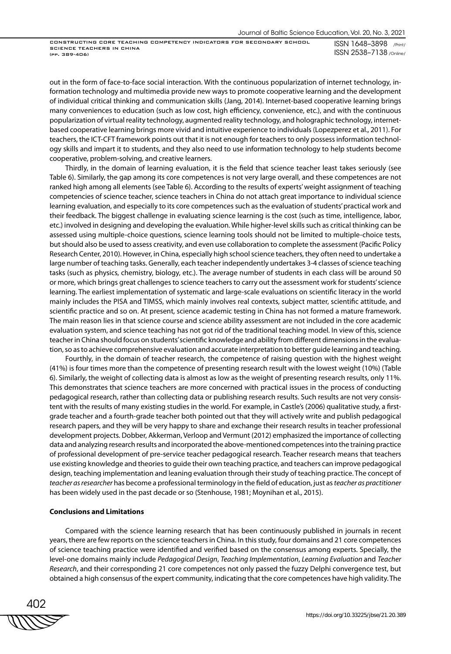ISSN 1648–3898 /Print/ ISSN 2538–7138 /Online/

out in the form of face-to-face social interaction. With the continuous popularization of internet technology, information technology and multimedia provide new ways to promote cooperative learning and the development of individual critical thinking and communication skills (Jang, 2014). Internet-based cooperative learning brings many conveniences to education (such as low cost, high efficiency, convenience, etc.), and with the continuous popularization of virtual reality technology, augmented reality technology, and holographic technology, internetbased cooperative learning brings more vivid and intuitive experience to individuals (Lopezperez et al., 2011). For teachers, the ICT-CFT framework points out that it is not enough for teachers to only possess information technology skills and impart it to students, and they also need to use information technology to help students become cooperative, problem-solving, and creative learners.

Thirdly, in the domain of learning evaluation, it is the field that science teacher least takes seriously (see Table 6). Similarly, the gap among its core competences is not very large overall, and these competences are not ranked high among all elements (see Table 6). According to the results of experts' weight assignment of teaching competencies of science teacher, science teachers in China do not attach great importance to individual science learning evaluation, and especially to its core competences such as the evaluation of students' practical work and their feedback. The biggest challenge in evaluating science learning is the cost (such as time, intelligence, labor, etc.) involved in designing and developing the evaluation. While higher-level skills such as critical thinking can be assessed using multiple-choice questions, science learning tools should not be limited to multiple-choice tests, but should also be used to assess creativity, and even use collaboration to complete the assessment (Pacific Policy Research Center, 2010). However, in China, especially high school science teachers, they often need to undertake a large number of teaching tasks. Generally, each teacher independently undertakes 3-4 classes of science teaching tasks (such as physics, chemistry, biology, etc.). The average number of students in each class will be around 50 or more, which brings great challenges to science teachers to carry out the assessment work for students' science learning. The earliest implementation of systematic and large-scale evaluations on scientific literacy in the world mainly includes the PISA and TIMSS, which mainly involves real contexts, subject matter, scientific attitude, and scientific practice and so on. At present, science academic testing in China has not formed a mature framework. The main reason lies in that science course and science ability assessment are not included in the core academic evaluation system, and science teaching has not got rid of the traditional teaching model. In view of this, science teacher in China should focus on students' scientific knowledge and ability from different dimensions in the evaluation, so as to achieve comprehensive evaluation and accurate interpretation to better guide learning and teaching.

Fourthly, in the domain of teacher research, the competence of raising question with the highest weight (41%) is four times more than the competence of presenting research result with the lowest weight (10%) (Table 6). Similarly, the weight of collecting data is almost as low as the weight of presenting research results, only 11%. This demonstrates that science teachers are more concerned with practical issues in the process of conducting pedagogical research, rather than collecting data or publishing research results. Such results are not very consistent with the results of many existing studies in the world. For example, in Castle's (2006) qualitative study, a firstgrade teacher and a fourth-grade teacher both pointed out that they will actively write and publish pedagogical research papers, and they will be very happy to share and exchange their research results in teacher professional development projects. Dobber, Akkerman, Verloop and Vermunt (2012) emphasized the importance of collecting data and analyzing research results and incorporated the above-mentioned competences into the training practice of professional development of pre-service teacher pedagogical research. Teacher research means that teachers use existing knowledge and theories to guide their own teaching practice, and teachers can improve pedagogical design, teaching implementation and leaning evaluation through their study of teaching practice. The concept of *teacher as researcher* has become a professional terminology in the field of education, just as *teacher as practitioner* has been widely used in the past decade or so (Stenhouse, 1981; Moynihan et al., 2015).

# **Conclusions and Limitations**

Compared with the science learning research that has been continuously published in journals in recent years, there are few reports on the science teachers in China. In this study, four domains and 21 core competences of science teaching practice were identified and verified based on the consensus among experts. Specially, the level-one domains mainly include *Pedagogical Design*, *Teaching Implementation*, *Learning Evaluation* and *Teacher Research*, and their corresponding 21 core competences not only passed the fuzzy Delphi convergence test, but obtained a high consensus of the expert community, indicating that the core competences have high validity. The

402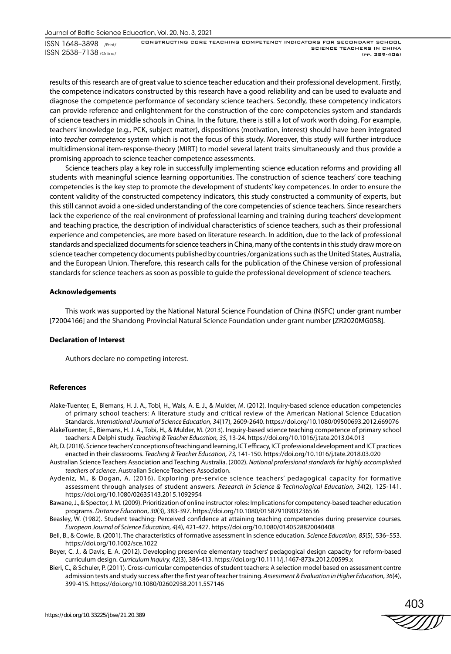results of this research are of great value to science teacher education and their professional development. Firstly, the competence indicators constructed by this research have a good reliability and can be used to evaluate and diagnose the competence performance of secondary science teachers. Secondly, these competency indicators can provide reference and enlightenment for the construction of the core competencies system and standards of science teachers in middle schools in China. In the future, there is still a lot of work worth doing. For example, teachers' knowledge (e.g., PCK, subject matter), dispositions (motivation, interest) should have been integrated into *teacher competence* system which is not the focus of this study. Moreover, this study will further introduce multidimensional item-response-theory (MIRT) to model several latent traits simultaneously and thus provide a promising approach to science teacher competence assessments.

Science teachers play a key role in successfully implementing science education reforms and providing all students with meaningful science learning opportunities. The construction of science teachers' core teaching competencies is the key step to promote the development of students' key competences. In order to ensure the content validity of the constructed competency indicators, this study constructed a community of experts, but this still cannot avoid a one-sided understanding of the core competencies of science teachers. Since researchers lack the experience of the real environment of professional learning and training during teachers' development and teaching practice, the description of individual characteristics of science teachers, such as their professional experience and competencies, are more based on literature research. In addition, due to the lack of professional standards and specialized documents for science teachers in China, many of the contents in this study draw more on science teacher competency documents published by countries /organizations such as the United States, Australia, and the European Union. Therefore, this research calls for the publication of the Chinese version of professional standards for science teachers as soon as possible to guide the professional development of science teachers.

# **Acknowledgements**

This work was supported by the National Natural Science Foundation of China (NSFC) under grant number [72004166] and the Shandong Provincial Natural Science Foundation under grant number [ZR2020MG058].

### **Declaration of Interest**

Authors declare no competing interest.

#### **References**

- Alake-Tuenter, E., Biemans, H. J. A., Tobi, H., Wals, A. E. J., & Mulder, M. (2012). Inquiry-based science education competencies of primary school teachers: A literature study and critical review of the American National Science Education Standards. *International Journal of Science Education, 34*(17), 2609-2640. https://doi.org/10.1080/09500693.2012.669076
- AlakeTuenter, E., Biemans, H. J. A., Tobi, H., & Mulder, M. (2013). Inquiry-based science teaching competence of primary school teachers: A Delphi study. *Teaching & Teacher Education, 35*, 13-24. https://doi.org/10.1016/j.tate.2013.04.013
- Alt, D. (2018). Science teachers' conceptions of teaching and learning, ICT efficacy, ICT professional development and ICT practices enacted in their classrooms. *Teaching & Teacher Education, 73,* 141-150. https://doi.org/10.1016/j.tate.2018.03.020
- Australian Science Teachers Association and Teaching Australia. (2002). *National professional standards for highly accomplished teachers of science*. Australian Science Teachers Association.
- Aydeniz, M., & Dogan, A. (2016). Exploring pre-service science teachers' pedagogical capacity for formative assessment through analyses of student answers. *Research in Science & Technological Education, 34*(2), 125-141. https://doi.org/10.1080/02635143.2015.1092954
- Bawane, J., & Spector, J. M. (2009). Prioritization of online instructor roles: Implications for competency-based teacher education programs. *Distance Education*, *30*(3), 383-397. https://doi.org/10.1080/01587910903236536
- Beasley, W. (1982). Student teaching: Perceived confidence at attaining teaching competencies during preservice courses. *European Journal of Science Education, 4*(4), 421-427. https://doi.org/10.1080/0140528820040408
- Bell, B., & Cowie, B. (2001). The characteristics of formative assessment in science education. *Science Education, 85*(5), 536–553. https://doi.org/10.1002/sce.1022
- Beyer, C. J., & Davis, E. A. (2012). Developing preservice elementary teachers' pedagogical design capacity for reform-based curriculum design. *Curriculum Inquiry, 42*(3), 386-413. https://doi.org/10.1111/j.1467-873x.2012.00599.x
- Bieri, C., & Schuler, P. (2011). Cross-curricular competencies of student teachers: A selection model based on assessment centre admission tests and study success after the first year of teacher training. *Assessment & Evaluation in Higher Education*, *36*(4), 399-415. https://doi.org/10.1080/02602938.2011.557146

403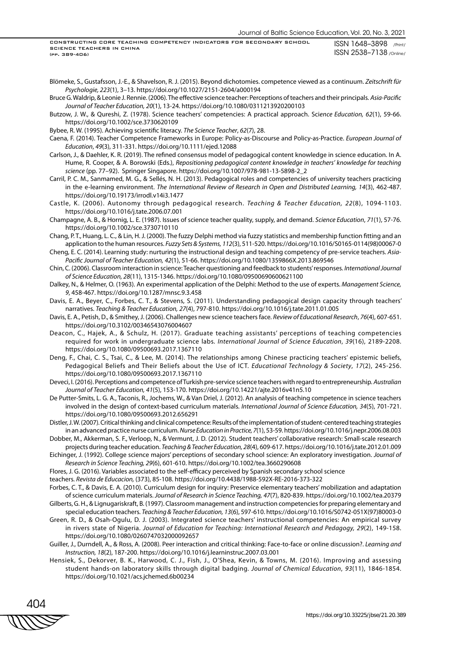Blömeke, S., Gustafsson, J.-E., & Shavelson, R. J. (2015). Beyond dichotomies. competence viewed as a continuum. *Zeitschrift für Psychologie, 223*(1), 3–13. https://doi.org/10.1027/2151-2604/a000194

- Bruce G. Waldrip, & Leonie J. Rennie. (2006). The effective science teacher: Perceptions of teachers and their principals. *Asia-Pacific Journal of Teacher Education, 20*(1), 13-24. https://doi.org/10.1080/0311213920200103
- Butzow, J. W., & Qureshi, Z. (1978). Science teachers' competencies: A practical approach. Sci*ence Education, 62*(1), 59-66. https://doi.org/10.1002/sce.3730620109
- Bybee, R. W. (1995). Achieving scientific literacy. *The Science Teacher*, *62*(7), 28.
- Caena, F. (2014). Teacher Competence Frameworks in Europe: Policy-as-Discourse and Policy-as-Practice. *European Journal of Education*, *49*(3), 311-331. https://doi.org/10.1111/ejed.12088
- Carlson, J., & Daehler, K. R. (2019). The refined consensus model of pedagogical content knowledge in science education. In A. Hume, R. Cooper, & A. Borowski (Eds.), *Repositioning pedagogical content knowledge in teachers' knowledge for teaching science* (pp. 77–92). Springer Singapore. https://doi.org/10.1007/978-981-13-5898-2\_2
- Carril, P. C. M., Sanmamed, M. G., & Sellés, N. H. (2013). Pedagogical roles and competencies of university teachers practicing in the e-learning environment. *The International Review of Research in Open and Distributed Learning, 14*(3), 462-487. https://doi.org/10.19173/irrodl.v14i3.1477
- Castle, K. (2006). Autonomy through pedagogical research. *Teaching & Teacher Education, 22*(8), 1094-1103. https://doi.org/10.1016/j.tate.2006.07.001
- Champagne, A. B., & Hornig, L. E. (1987). Issues of science teacher quality, supply, and demand. *Science Education*, *71*(1), 57-76. https://doi.org/10.1002/sce.3730710110
- Chang, P. T., Huang, L. C., & Lin, H. J. (2000). The fuzzy Delphi method via fuzzy statistics and membership function fitting and an application to the human resources. *Fuzzy Sets & Systems, 112*(3), 511-520. https://doi.org/10.1016/S0165-0114(98)00067-0
- Cheng, E. C. (2014). Learning study: nurturing the instructional design and teaching competency of pre-service teachers. *Asia-Pacific Journal of Teacher Education, 42*(1), 51-66. https://doi.org/10.1080/1359866X.2013.869546
- Chin, C. (2006). Classroom interaction in science: Teacher questioning and feedback to students' responses. *International Journal of Science Education, 28*(11), 1315-1346. https://doi.org/10.1080/09500690600621100
- Dalkey, N., & Helmer, O. (1963). An experimental application of the Delphi: Method to the use of experts. *Management Science, 9*, 458-467. https://doi.org/10.1287/mnsc.9.3.458
- Davis, E. A., Beyer, C., Forbes, C. T., & Stevens, S. (2011). Understanding pedagogical design capacity through teachers' narratives. *Teaching & Teacher Education, 27*(4), 797-810. https://doi.org/10.1016/j.tate.2011.01.005
- Davis, E. A., Petish, D., & Smithey, J. (2006). Challenges new science teachers face. *Review of Educational Research*, *76*(4), 607-651. https://doi.org/10.3102/00346543076004607
- Deacon, C., Hajek, A., & Schulz, H. (2017). Graduate teaching assistants' perceptions of teaching competencies required for work in undergraduate science labs. *International Journal of Science Education*, *39*(16), 2189-2208. https://doi.org/10.1080/09500693.2017.1367110
- Deng, F., Chai, C. S., Tsai, C., & Lee, M. (2014). The relationships among Chinese practicing teachers' epistemic beliefs, Pedagogical Beliefs and Their Beliefs about the Use of ICT. *Educational Technology & Society*, *17*(2), 245-256. https://doi.org/10.1080/09500693.2017.1367110
- Deveci, I. (2016). Perceptions and competence of Turkish pre-service science teachers with regard to entrepreneurship. *Australian Journal of Teacher Education, 41*(5), 153-170. https://doi.org/10.14221/ajte.2016v41n5.10
- De Putter-Smits, L. G. A., Taconis, R., Jochems, W., & Van Driel, J. (2012). An analysis of teaching competence in science teachers involved in the design of context-based curriculum materials. *International Journal of Science Education, 34*(5), 701-721. https://doi.org/10.1080/09500693.2012.656291

Distler, J. W. (2007). Critical thinking and clinical competence: Results of the implementation of student-centered teaching strategies in an advanced practice nurse curriculum. *Nurse Education in Practice, 7*(1), 53-59. https://doi.org/10.1016/j.nepr.2006.08.003

- Dobber, M., Akkerman, S. F., Verloop, N., & Vermunt, J. D. (2012). Student teachers' collaborative research: Small-scale research projects during teacher education. *Teaching & Teacher Education, 28*(4), 609-617. https://doi.org/10.1016/j.tate.2012.01.009
- Eichinger, J. (1992). College science majors' perceptions of secondary school science: An exploratory investigation. *Journal of Research in Science Teaching, 29*(6), 601-610. https://doi.org/10.1002/tea.3660290608
- Flores, J. G. (2016). Variables associated to the self-efficacy perceived by Spanish secondary school science

teachers. *Revista de Educacion,* (373), 85-108. https://doi.org/10.4438/1988-592X-RE-2016-373-322

- Forbes, C. T., & Davis, E. A. (2010). Curriculum design for inquiry: Preservice elementary teachers' mobilization and adaptation of science curriculum materials. *Journal of Research in Science Teaching, 47*(7), 820-839. https://doi.org/10.1002/tea.20379
- Gilberts, G. H., & Lignugariskraft, B. (1997). Classroom management and instruction competencies for preparing elementary and special education teachers. *Teaching & Teacher Education, 13*(6), 597-610. https://doi.org/10.1016/S0742-051X(97)80003-0
- Green, R. D., & Osah-Ogulu, D. J. (2003). Integrated science teachers' instructional competencies: An empirical survey in rivers state of Nigeria. *Journal of Education for Teaching: International Research and Pedagogy, 29*(2), 149-158. https://doi.org/10.1080/0260747032000092657
- Guiller, J., Durndell, A., & Ross, A. (2008). Peer interaction and critical thinking: Face-to-face or online discussion?. *Learning and Instruction, 18*(2), 187-200. https://doi.org/10.1016/j.learninstruc.2007.03.001
- Hensiek, S., Dekorver, B. K., Harwood, C. J., Fish, J., O'Shea, Kevin, & Towns, M. (2016). Improving and assessing student hands-on laboratory skills through digital badging. *Journal of Chemical Education*, *93*(11), 1846-1854. https://doi.org/10.1021/acs.jchemed.6b00234

404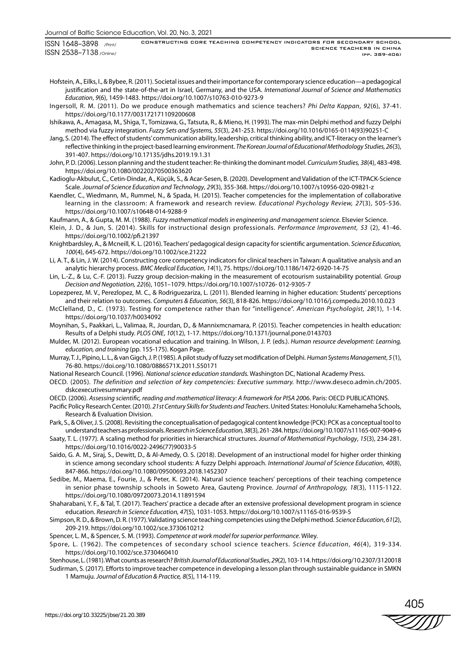Hofstein, A., Eilks, I., & Bybee, R. (2011). Societal issues and their importance for contemporary science education—a pedagogical justification and the state-of-the-art in Israel, Germany, and the USA. *International Journal of Science and Mathematics Education*, *9*(6), 1459-1483. https://doi.org/10.1007/s10763-010-9273-9

Ingersoll, R. M. (2011). Do we produce enough mathematics and science teachers? *Phi Delta Kappan*, *92*(6), 37-41. https://doi.org/10.1177/003172171109200608

Ishikawa, A., Amagasa, M., Shiga, T., Tomizawa, G., Tatsuta, R., & Mieno, H. (1993). The max-min Delphi method and fuzzy Delphi method via fuzzy integration. *Fuzzy Sets and Systems, 55*(3), 241-253. https://doi.org/10.1016/0165-0114(93)90251-C

Jang, S. (2014). The effect of students' communication ability, leadership, critical thinking ability, and ICT-literacy on the learner's reflective thinking in the project-based learning environment. *The Korean Journal of Educational Methodology Studies, 26*(3), 391-407. https://doi.org/10.17135/jdhs.2019.19.1.31

John, P. D. (2006). Lesson planning and the student teacher: Re-thinking the dominant model. *Curriculum Studies, 38*(4), 483-498. https://doi.org/10.1080/00220270500363620

- Kadioglu-Akbulut, C., Cetin-Dindar, A., Küçük, S., & Acar-Sesen, B. (2020). Development and Validation of the ICT-TPACK-Science Scale. *Journal of Science Education and Technology*, *29*(3), 355-368. https://doi.org/10.1007/s10956-020-09821-z
- Kaendler, C., Wiedmann, M., Rummel, N., & Spada, H. (2015). Teacher competencies for the implementation of collaborative learning in the classroom: A framework and research review. *Educational Psychology Review, 27*(3), 505-536. https://doi.org/10.1007/s10648-014-9288-9

Kaufmann, A., & Gupta, M. M. (1988). *Fuzzy mathematical models in engineering and management science*. Elsevier Science.

- Klein, J. D., & Jun, S. (2014). Skills for instructional design professionals. *Performance Improvement, 53* (2), 41-46. https://doi.org/10.1002/pfi.21397
- Knightbardsley, A., & Mcneill, K. L. (2016). Teachers' pedagogical design capacity for scientific argumentation. *Science Education, 100*(4), 645-672. https://doi.org/10.1002/sce.21222
- Li, A. T., & Lin, J. W. (2014). Constructing core competency indicators for clinical teachers in Taiwan: A qualitative analysis and an analytic hierarchy process. *BMC Medical Education*, *14*(1), 75. https://doi.org/10.1186/1472-6920-14-75
- Lin, L.-Z., & Lu, C.-F. (2013). Fuzzy group decision-making in the measurement of ecotourism sustainability potential. *Group Decision and Negotiation, 22*(6), 1051–1079. https://doi.org/10.1007/s10726- 012-9305-7
- Lopezperez, M. V., Perezlopez, M. C., & Rodriguezariza, L. (2011). Blended learning in higher education: Students' perceptions and their relation to outcomes. *Computers & Education, 56*(3), 818-826. https://doi.org/10.1016/j.compedu.2010.10.023
- McClelland, D., C. (1973). Testing for competence rather than for "intelligence". *American Psychologist, 28*(1), 1-14. https://doi.org/10.1037/h0034092
- Moynihan, S., Paakkari, L., Valimaa, R., Jourdan, D., & Mannixmcnamara, P. (2015). Teacher competencies in health education: Results of a Delphi study. *PLOS ONE*, *10*(12), 1-17. https://doi.org/10.1371/journal.pone.0143703
- Mulder, M. (2012). European vocational education and training. In Wilson, J. P. (eds.). *Human resource development: Learning, education, and training* (pp. 155-175). Kogan Page.
- Murray, T. J., Pipino, L. L., & van Gigch, J. P. (1985). A pilot study of fuzzy set modification of Delphi. *Human Systems Management*, *5* (1), 76-80. https://doi.org/10.1080/0886571X.2011.550171
- National Research Council. (1996). *National science education standards.* Washington DC, National Academy Press.
- OECD. (2005). *The definition and selection of key competencies: Executive summary.* http://www.deseco.admin.ch/2005. dskcexecutivesummary.pdf

OECD. (2006). *Assessing scientific, reading and mathematical literacy: A framework for PISA 20*06. Paris: OECD PUBLICATIONS.

Pacific Policy Research Center. (2010). *21st Century Skills for Students and Teachers*. United States: Honolulu: Kamehameha Schools, Research & Evaluation Division.

Park, S., & Oliver, J. S. (2008). Revisiting the conceptualisation of pedagogical content knowledge (PCK): PCK as a conceptual tool to understand teachers as professionals. *Research in Science Education, 38*(3), 261-284. https://doi.org/10.1007/s11165-007-9049-6

- Saaty, T. L. (1977). A scaling method for priorities in hierarchical structures. *Journal of Mathematical Psychology*, *15*(3), 234-281. https://doi.org/10.1016/0022-2496(77)90033-5
- Saido, G. A. M., Siraj, S., Dewitt, D., & Al-Amedy, O. S. (2018). Development of an instructional model for higher order thinking in science among secondary school students: A fuzzy Delphi approach. *International Journal of Science Education*, *40*(8), 847-866. https://doi.org/10.1080/09500693.2018.1452307
- Sedibe, M., Maema, E., Fourie, J., & Peter, K. (2014). Natural science teachers' perceptions of their teaching competence in senior phase township schools in Soweto Area, Gauteng Province. *Journal of Anthropology, 18*(3), 1115-1122. https://doi.org/10.1080/09720073.2014.11891594
- Shaharabani, Y. F., & Tal, T. (2017). Teachers' practice a decade after an extensive professional development program in science education. *Research in Science Education, 47*(5), 1031-1053. https://doi.org/10.1007/s11165-016-9539-5
- Simpson, R. D., & Brown, D. R. (1977). Validating science teaching competencies using the Delphi method. *Science Education*, *61*(2), 209-219. https://doi.org/10.1002/sce.3730610212
- Spencer, L. M., & Spencer, S. M. (1993). *Competence at work model for superior performance*. Wiley.
- Spore, L. (1962). The competences of secondary school science teachers. *Science Education*, *46*(4), 319-334. https://doi.org/10.1002/sce.3730460410

Stenhouse, L. (1981). What counts as research? *British Journal of Educational Studies*, *29*(2), 103-114. https://doi.org/10.2307/3120018

Sudirman, S. (2017). Efforts to improve teacher competence in developing a lesson plan through sustainable guidance in SMKN 1 Mamuju. *Journal of Education & Practice, 8*(5), 114-119.